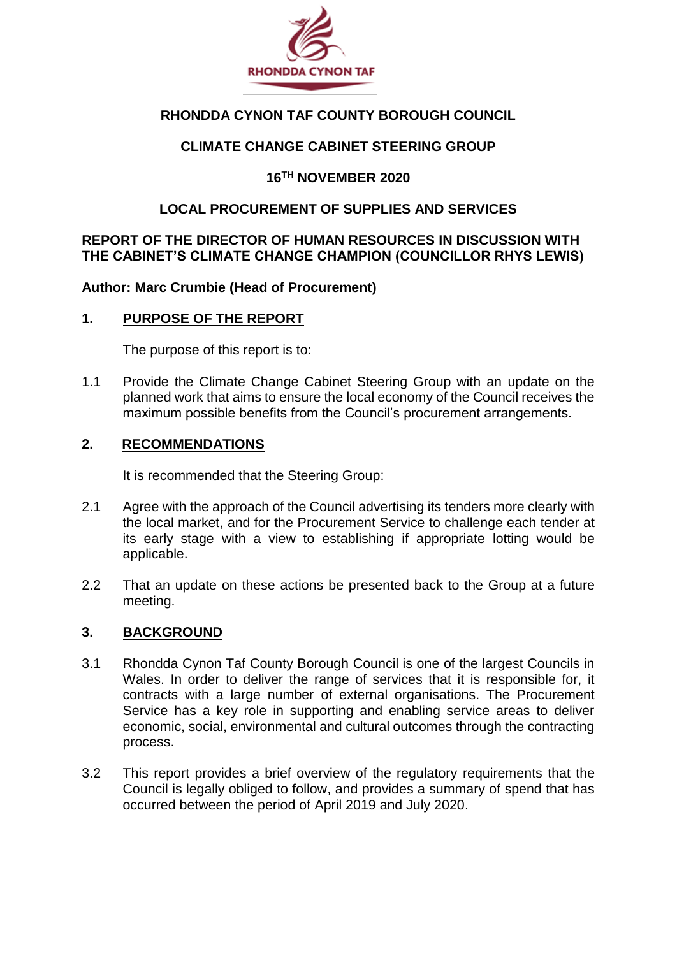

# **RHONDDA CYNON TAF COUNTY BOROUGH COUNCIL**

# **CLIMATE CHANGE CABINET STEERING GROUP**

## **16TH NOVEMBER 2020**

## **LOCAL PROCUREMENT OF SUPPLIES AND SERVICES**

#### **REPORT OF THE DIRECTOR OF HUMAN RESOURCES IN DISCUSSION WITH THE CABINET'S CLIMATE CHANGE CHAMPION (COUNCILLOR RHYS LEWIS)**

**Author: Marc Crumbie (Head of Procurement)**

### **1. PURPOSE OF THE REPORT**

The purpose of this report is to:

1.1 Provide the Climate Change Cabinet Steering Group with an update on the planned work that aims to ensure the local economy of the Council receives the maximum possible benefits from the Council's procurement arrangements.

#### **2. RECOMMENDATIONS**

It is recommended that the Steering Group:

- 2.1 Agree with the approach of the Council advertising its tenders more clearly with the local market, and for the Procurement Service to challenge each tender at its early stage with a view to establishing if appropriate lotting would be applicable.
- 2.2 That an update on these actions be presented back to the Group at a future meeting.

#### **3. BACKGROUND**

- 3.1 Rhondda Cynon Taf County Borough Council is one of the largest Councils in Wales. In order to deliver the range of services that it is responsible for, it contracts with a large number of external organisations. The Procurement Service has a key role in supporting and enabling service areas to deliver economic, social, environmental and cultural outcomes through the contracting process.
- 3.2 This report provides a brief overview of the regulatory requirements that the Council is legally obliged to follow, and provides a summary of spend that has occurred between the period of April 2019 and July 2020.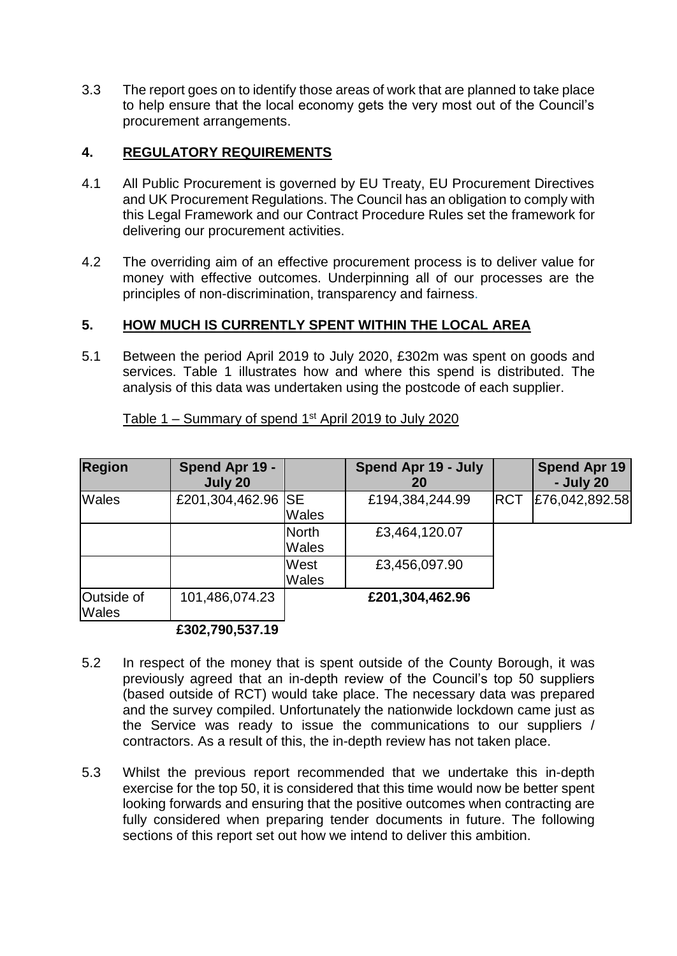3.3 The report goes on to identify those areas of work that are planned to take place to help ensure that the local economy gets the very most out of the Council's procurement arrangements.

# **4. REGULATORY REQUIREMENTS**

- 4.1 All Public Procurement is governed by EU Treaty, EU Procurement Directives and UK Procurement Regulations. The Council has an obligation to comply with this Legal Framework and our Contract Procedure Rules set the framework for delivering our procurement activities.
- 4.2 The overriding aim of an effective procurement process is to deliver value for money with effective outcomes. Underpinning all of our processes are the principles of non-discrimination, transparency and fairness.

### **5. HOW MUCH IS CURRENTLY SPENT WITHIN THE LOCAL AREA**

5.1 Between the period April 2019 to July 2020, £302m was spent on goods and services. Table 1 illustrates how and where this spend is distributed. The analysis of this data was undertaken using the postcode of each supplier.

| <b>Region</b>              | Spend Apr 19 -<br>July 20 |                              | Spend Apr 19 - July<br>20 |            | <b>Spend Apr 19</b><br>- July 20 |
|----------------------------|---------------------------|------------------------------|---------------------------|------------|----------------------------------|
| <b>Wales</b>               | £201,304,462.96 SE        | <b>Wales</b>                 | £194,384,244.99           | <b>RCT</b> | £76,042,892.58                   |
|                            |                           | <b>North</b><br><b>Wales</b> | £3,464,120.07             |            |                                  |
|                            |                           | West<br><b>Wales</b>         | £3,456,097.90             |            |                                  |
| Outside of<br><b>Wales</b> | 101,486,074.23            |                              | £201,304,462.96           |            |                                  |
|                            | £302.790.537.19           |                              |                           |            |                                  |

Table 1 – Summary of spend 1st April 2019 to July 2020

- 5.2 In respect of the money that is spent outside of the County Borough, it was previously agreed that an in-depth review of the Council's top 50 suppliers (based outside of RCT) would take place. The necessary data was prepared and the survey compiled. Unfortunately the nationwide lockdown came just as the Service was ready to issue the communications to our suppliers / contractors. As a result of this, the in-depth review has not taken place.
- 5.3 Whilst the previous report recommended that we undertake this in-depth exercise for the top 50, it is considered that this time would now be better spent looking forwards and ensuring that the positive outcomes when contracting are fully considered when preparing tender documents in future. The following sections of this report set out how we intend to deliver this ambition.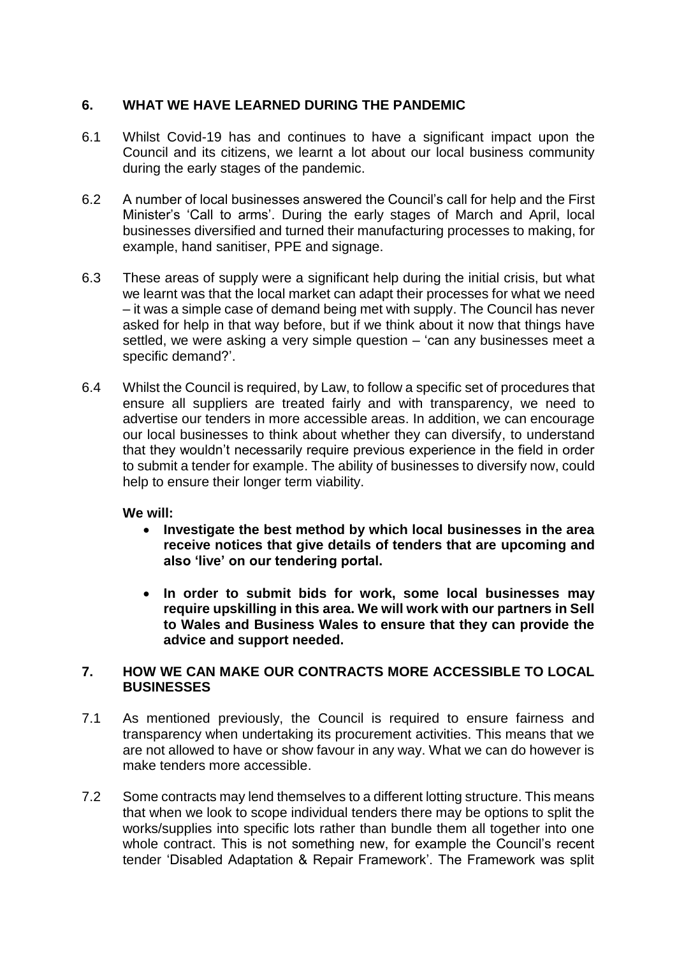### **6. WHAT WE HAVE LEARNED DURING THE PANDEMIC**

- 6.1 Whilst Covid-19 has and continues to have a significant impact upon the Council and its citizens, we learnt a lot about our local business community during the early stages of the pandemic.
- 6.2 A number of local businesses answered the Council's call for help and the First Minister's 'Call to arms'. During the early stages of March and April, local businesses diversified and turned their manufacturing processes to making, for example, hand sanitiser, PPE and signage.
- 6.3 These areas of supply were a significant help during the initial crisis, but what we learnt was that the local market can adapt their processes for what we need – it was a simple case of demand being met with supply. The Council has never asked for help in that way before, but if we think about it now that things have settled, we were asking a very simple question – 'can any businesses meet a specific demand?'.
- 6.4 Whilst the Council is required, by Law, to follow a specific set of procedures that ensure all suppliers are treated fairly and with transparency, we need to advertise our tenders in more accessible areas. In addition, we can encourage our local businesses to think about whether they can diversify, to understand that they wouldn't necessarily require previous experience in the field in order to submit a tender for example. The ability of businesses to diversify now, could help to ensure their longer term viability.

#### **We will:**

- **Investigate the best method by which local businesses in the area receive notices that give details of tenders that are upcoming and also 'live' on our tendering portal.**
- **In order to submit bids for work, some local businesses may require upskilling in this area. We will work with our partners in Sell to Wales and Business Wales to ensure that they can provide the advice and support needed.**

#### **7. HOW WE CAN MAKE OUR CONTRACTS MORE ACCESSIBLE TO LOCAL BUSINESSES**

- 7.1 As mentioned previously, the Council is required to ensure fairness and transparency when undertaking its procurement activities. This means that we are not allowed to have or show favour in any way. What we can do however is make tenders more accessible.
- 7.2 Some contracts may lend themselves to a different lotting structure. This means that when we look to scope individual tenders there may be options to split the works/supplies into specific lots rather than bundle them all together into one whole contract. This is not something new, for example the Council's recent tender 'Disabled Adaptation & Repair Framework'. The Framework was split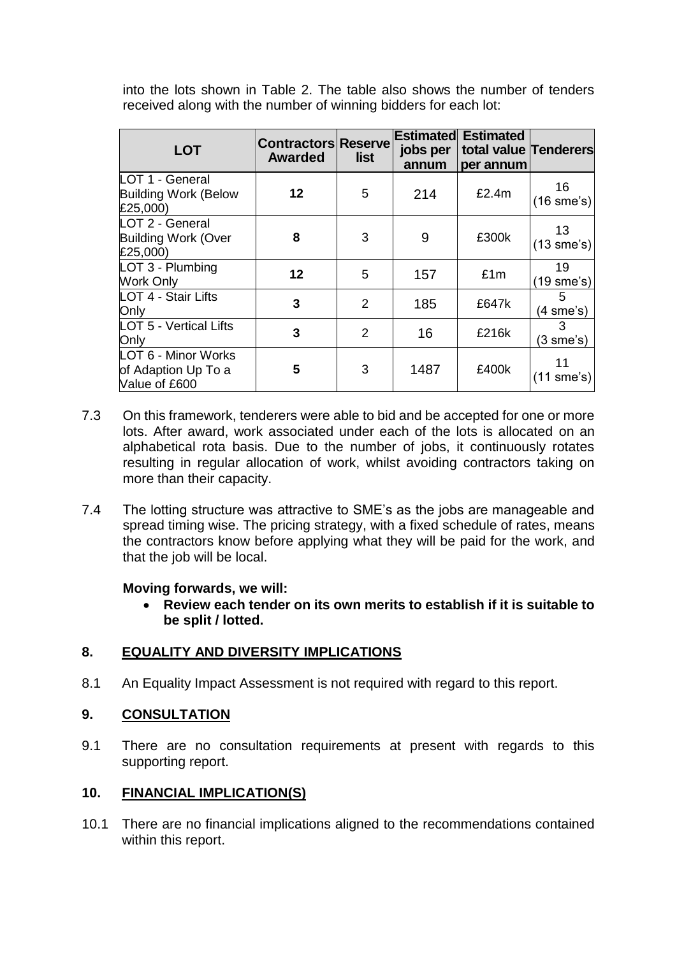into the lots shown in Table 2. The table also shows the number of tenders received along with the number of winning bidders for each lot:

| <b>LOT</b>                                                  | <b>Contractors Reserve</b><br><b>Awarded</b> | list           | Estimated<br>jobs per<br>annum | <b>Estimated</b><br>total value Tenderers<br>per annum |                          |
|-------------------------------------------------------------|----------------------------------------------|----------------|--------------------------------|--------------------------------------------------------|--------------------------|
| LOT 1 - General<br><b>Building Work (Below</b><br>£25,000)  | 12                                           | 5              | 214                            | £2.4m                                                  | 16<br>$(16$ sme's)       |
| LOT 2 - General<br><b>Building Work (Over</b><br>£25,000)   | 8                                            | 3              | 9                              | £300k                                                  | 13<br>$(13$ sme's)       |
| $LOT 3 - Plumbing$<br><b>Work Only</b>                      | 12                                           | 5              | 157                            | £1m                                                    | 19<br>(19 sme's)         |
| LOT 4 - Stair Lifts<br>Only                                 | 3                                            | $\overline{2}$ | 185                            | £647k                                                  | 5<br>(4 sme's)           |
| <b>LOT 5 - Vertical Lifts</b><br>Only                       | 3                                            | $\overline{2}$ | 16                             | £216k                                                  | 3<br>$(3 \text{ sme's})$ |
| LOT 6 - Minor Works<br>of Adaption Up To a<br>Value of £600 | 5                                            | 3              | 1487                           | £400k                                                  | 11<br>$(11$ sme's)       |

- 7.3 On this framework, tenderers were able to bid and be accepted for one or more lots. After award, work associated under each of the lots is allocated on an alphabetical rota basis. Due to the number of jobs, it continuously rotates resulting in regular allocation of work, whilst avoiding contractors taking on more than their capacity.
- 7.4 The lotting structure was attractive to SME's as the jobs are manageable and spread timing wise. The pricing strategy, with a fixed schedule of rates, means the contractors know before applying what they will be paid for the work, and that the job will be local.

#### **Moving forwards, we will:**

 **Review each tender on its own merits to establish if it is suitable to be split / lotted.**

# **8. EQUALITY AND DIVERSITY IMPLICATIONS**

8.1 An Equality Impact Assessment is not required with regard to this report.

# **9. CONSULTATION**

9.1 There are no consultation requirements at present with regards to this supporting report.

# **10. FINANCIAL IMPLICATION(S)**

10.1 There are no financial implications aligned to the recommendations contained within this report.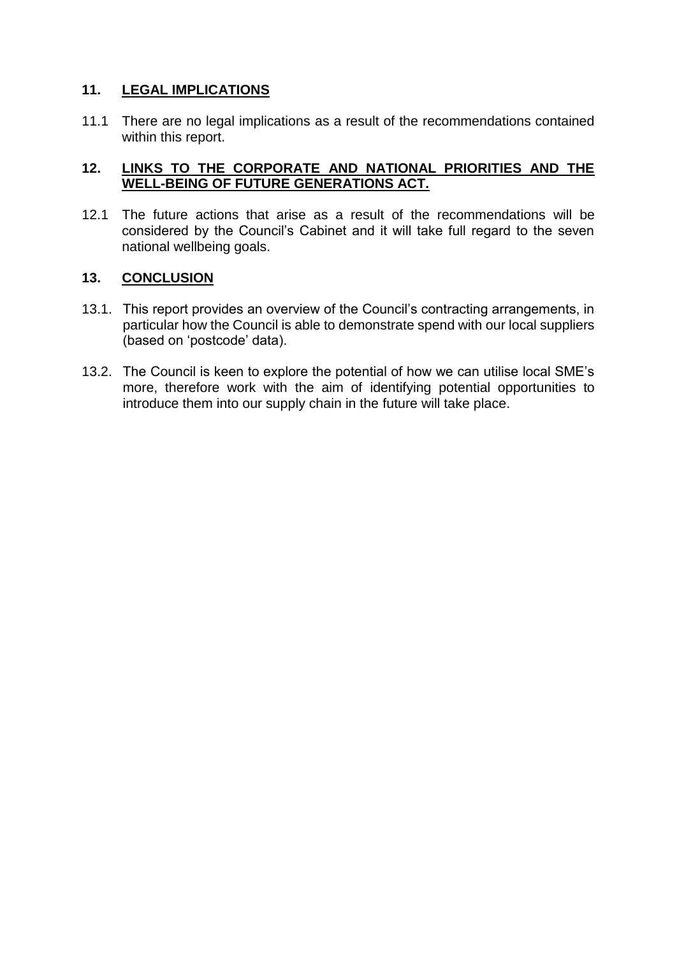# **11. LEGAL IMPLICATIONS**

11.1 There are no legal implications as a result of the recommendations contained within this report.

### **12. LINKS TO THE CORPORATE AND NATIONAL PRIORITIES AND THE WELL-BEING OF FUTURE GENERATIONS ACT.**

12.1 The future actions that arise as a result of the recommendations will be considered by the Council's Cabinet and it will take full regard to the seven national wellbeing goals.

#### **13. CONCLUSION**

- 13.1. This report provides an overview of the Council's contracting arrangements, in particular how the Council is able to demonstrate spend with our local suppliers (based on 'postcode' data).
- 13.2. The Council is keen to explore the potential of how we can utilise local SME's more, therefore work with the aim of identifying potential opportunities to introduce them into our supply chain in the future will take place.